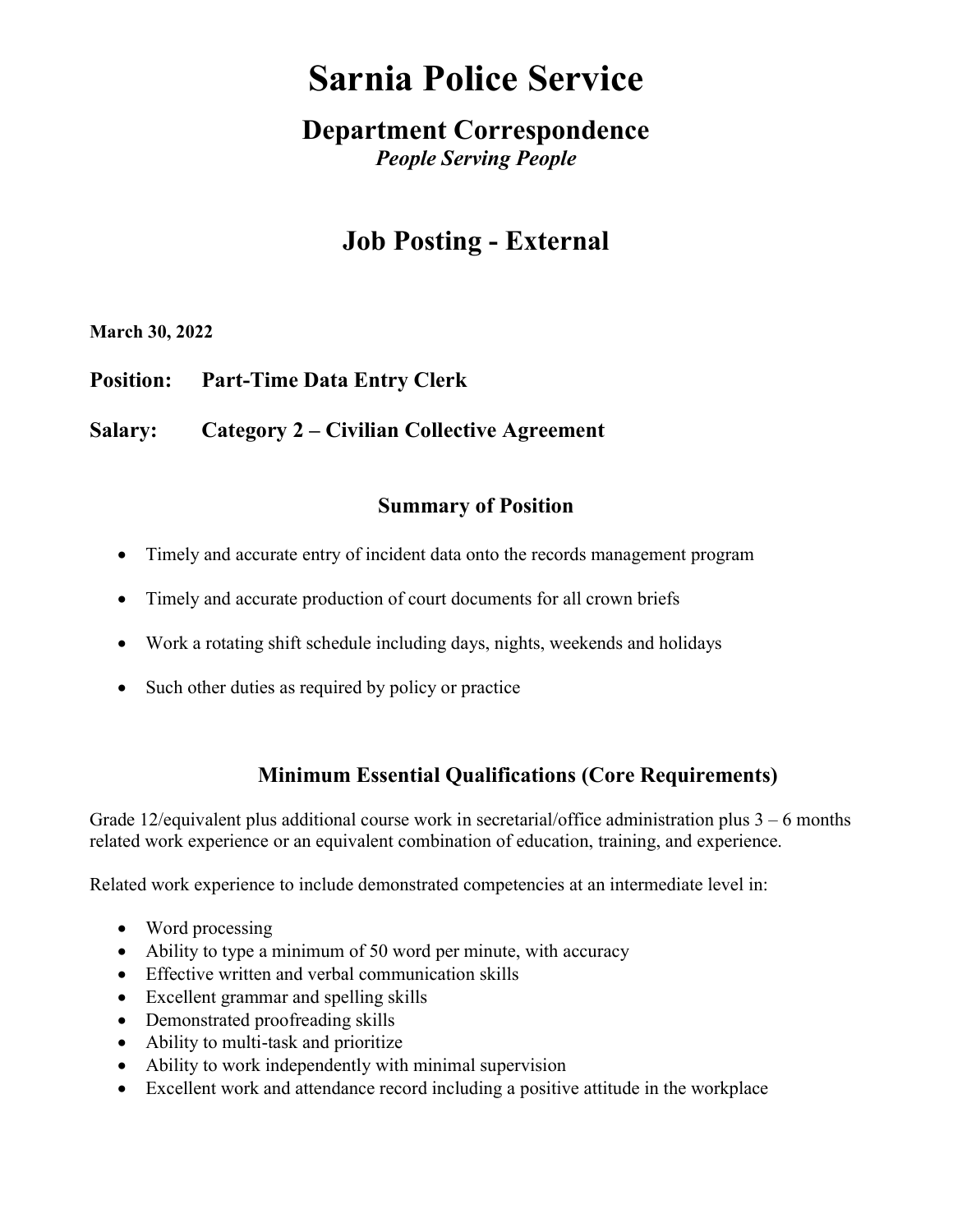# Sarnia Police Service

### Department Correspondence People Serving People

## Job Posting - External

March 30, 2022

Position: Part-Time Data Entry Clerk

Salary: Category 2 – Civilian Collective Agreement

#### Summary of Position

- Timely and accurate entry of incident data onto the records management program
- Timely and accurate production of court documents for all crown briefs
- Work a rotating shift schedule including days, nights, weekends and holidays
- Such other duties as required by policy or practice

#### Minimum Essential Qualifications (Core Requirements)

Grade 12/equivalent plus additional course work in secretarial/office administration plus  $3 - 6$  months related work experience or an equivalent combination of education, training, and experience.

Related work experience to include demonstrated competencies at an intermediate level in:

- Word processing
- Ability to type a minimum of 50 word per minute, with accuracy
- Effective written and verbal communication skills
- Excellent grammar and spelling skills
- Demonstrated proofreading skills
- Ability to multi-task and prioritize
- Ability to work independently with minimal supervision
- Excellent work and attendance record including a positive attitude in the workplace